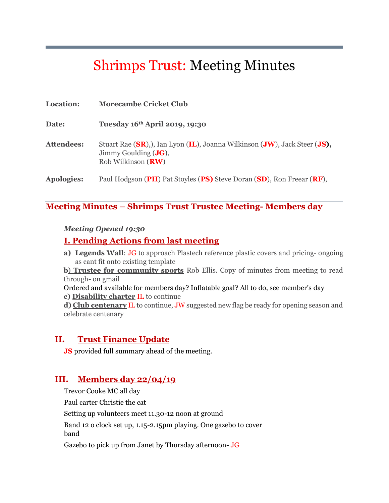# Shrimps Trust: Meeting Minutes

| Location:         | <b>Morecambe Cricket Club</b>                                                                                                              |
|-------------------|--------------------------------------------------------------------------------------------------------------------------------------------|
| Date:             | Tuesday 16th April 2019, 19:30                                                                                                             |
| <b>Attendees:</b> | Stuart Rae (SR), Lan Lyon (IL), Joanna Wilkinson (JW), Jack Steer (JS),<br>Jimmy Goulding $(\mathbf{J}\mathbf{G})$ ,<br>Rob Wilkinson (RW) |
| <b>Apologies:</b> | Paul Hodgson (PH) Pat Stoyles (PS) Steve Doran (SD), Ron Freear (RF),                                                                      |

#### **Meeting Minutes – Shrimps Trust Trustee Meeting- Members day**

#### *Meeting Opened 19:30*

#### **I. Pending Actions from last meeting**

**a) Legends Wall**: JG to approach Plastech reference plastic covers and pricing- ongoing as cant fit onto existing template

**b**) **Trustee for community sports** Rob Ellis. Copy of minutes from meeting to read through- on gmail

Ordered and available for members day? Inflatable goal? All to do, see member's day **c) Disability charter** IL to continue

**d) Club centenary** IL to continue, JW suggested new flag be ready for opening season and celebrate centenary

#### **II. Trust Finance Update**

**JS** provided full summary ahead of the meeting.

#### **III. Members day 22/04/19**

Trevor Cooke MC all day Paul carter Christie the cat Setting up volunteers meet 11.30-12 noon at ground Band 12 o clock set up, 1.15-2.15pm playing. One gazebo to cover band Gazebo to pick up from Janet by Thursday afternoon- JG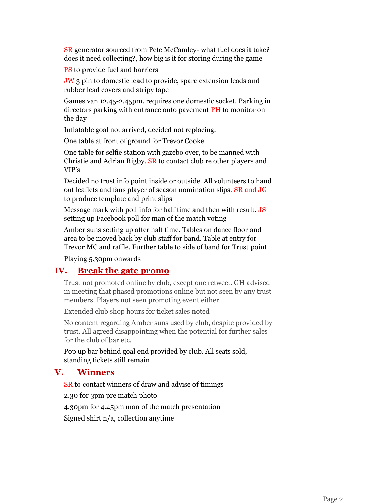SR generator sourced from Pete McCamley- what fuel does it take? does it need collecting?, how big is it for storing during the game

PS to provide fuel and barriers

JW 3 pin to domestic lead to provide, spare extension leads and rubber lead covers and stripy tape

Games van 12.45-2.45pm, requires one domestic socket. Parking in directors parking with entrance onto pavement PH to monitor on the day

Inflatable goal not arrived, decided not replacing.

One table at front of ground for Trevor Cooke

One table for selfie station with gazebo over, to be manned with Christie and Adrian Rigby. SR to contact club re other players and VIP's

Decided no trust info point inside or outside. All volunteers to hand out leaflets and fans player of season nomination slips. SR and JG to produce template and print slips

Message mark with poll info for half time and then with result. JS setting up Facebook poll for man of the match voting

Amber suns setting up after half time. Tables on dance floor and area to be moved back by club staff for band. Table at entry for Trevor MC and raffle. Further table to side of band for Trust point

Playing 5.30pm onwards

#### **IV. Break the gate promo**

Trust not promoted online by club, except one retweet. GH advised in meeting that phased promotions online but not seen by any trust members. Players not seen promoting event either

Extended club shop hours for ticket sales noted

No content regarding Amber suns used by club, despite provided by trust. All agreed disappointing when the potential for further sales for the club of bar etc.

Pop up bar behind goal end provided by club. All seats sold, standing tickets still remain

### **V. Winners**

SR to contact winners of draw and advise of timings

2.30 for 3pm pre match photo

4.30pm for 4.45pm man of the match presentation

Signed shirt n/a, collection anytime